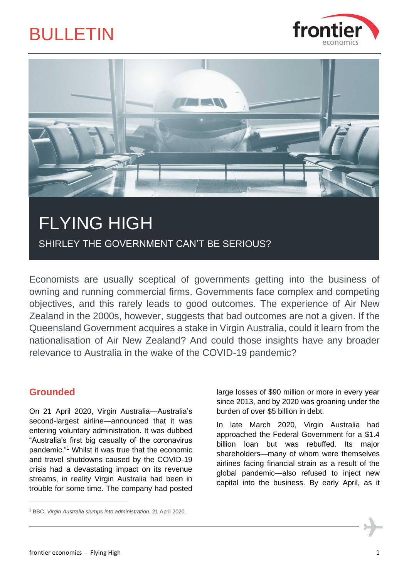



SHIRLEY THE GOVERNMENT CAN'T BE SERIOUS?

Economists are usually sceptical of governments getting into the business of owning and running commercial firms. Governments face complex and competing objectives, and this rarely leads to good outcomes. The experience of Air New Zealand in the 2000s, however, suggests that bad outcomes are not a given. If the Queensland Government acquires a stake in Virgin Australia, could it learn from the nationalisation of Air New Zealand? And could those insights have any broader relevance to Australia in the wake of the COVID-19 pandemic?

## **Grounded**

On 21 April 2020, Virgin Australia—Australia's second-largest airline—announced that it was entering voluntary administration. It was dubbed "Australia's first big casualty of the coronavirus pandemic."<sup>1</sup> Whilst it was true that the economic and travel shutdowns caused by the COVID-19 crisis had a devastating impact on its revenue streams, in reality Virgin Australia had been in trouble for some time. The company had posted large losses of \$90 million or more in every year since 2013, and by 2020 was groaning under the burden of over \$5 billion in debt.

In late March 2020, Virgin Australia had approached the Federal Government for a \$1.4 billion loan but was rebuffed. Its major shareholders—many of whom were themselves airlines facing financial strain as a result of the global pandemic—also refused to inject new capital into the business. By early April, as it

<sup>1</sup> BBC, *Virgin Australia slumps into administration*, 21 April 2020.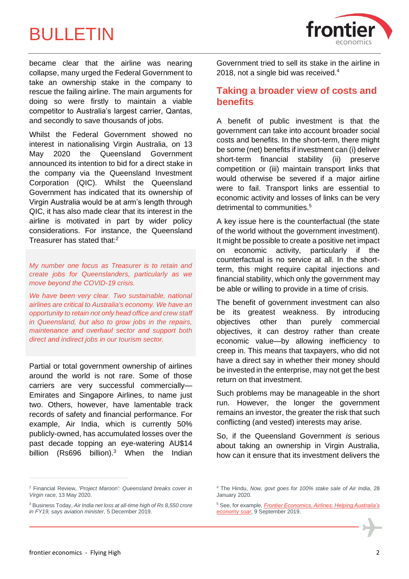

became clear that the airline was nearing collapse, many urged the Federal Government to take an ownership stake in the company to rescue the failing airline. The main arguments for doing so were firstly to maintain a viable competitor to Australia's largest carrier, Qantas, and secondly to save thousands of jobs.

Whilst the Federal Government showed no interest in nationalising Virgin Australia, on 13 May 2020 the Queensland Government announced its intention to bid for a direct stake in the company via the Queensland Investment Corporation (QIC). Whilst the Queensland Government has indicated that its ownership of Virgin Australia would be at arm's length through QIC, it has also made clear that its interest in the airline is motivated in part by wider policy considerations. For instance, the Queensland Treasurer has stated that:<sup>2</sup>

*My number one focus as Treasurer is to retain and create jobs for Queenslanders, particularly as we move beyond the COVID-19 crisis.*

*We have been very clear. Two sustainable, national airlines are critical to Australia's economy. We have an opportunity to retain not only head office and crew staff in Queensland, but also to grow jobs in the repairs, maintenance and overhaul sector and support both direct and indirect jobs in our tourism sector.*

Partial or total government ownership of airlines around the world is not rare. Some of those carriers are very successful commercially— Emirates and Singapore Airlines, to name just two. Others, however, have lamentable track records of safety and financial performance. For example, Air India, which is currently 50% publicly-owned, has accumulated losses over the past decade topping an eye-watering AU\$14 billion (Rs696 billion).<sup>3</sup> When the Indian Government tried to sell its stake in the airline in 2018, not a single bid was received. $4$ 

### **Taking a broader view of costs and benefits**

A benefit of public investment is that the government can take into account broader social costs and benefits. In the short-term, there might be some (net) benefits if investment can (i) deliver short-term financial stability (ii) preserve competition or (iii) maintain transport links that would otherwise be severed if a major airline were to fail. Transport links are essential to economic activity and losses of links can be very detrimental to communities.<sup>5</sup>

A key issue here is the counterfactual (the state of the world without the government investment). It might be possible to create a positive net impact on economic activity, particularly if the counterfactual is no service at all. In the shortterm, this might require capital injections and financial stability, which only the government may be able or willing to provide in a time of crisis.

The benefit of government investment can also be its greatest weakness. By introducing objectives other than purely commercial objectives, it can destroy rather than create economic value—by allowing inefficiency to creep in. This means that taxpayers, who did not have a direct say in whether their money should be invested in the enterprise, may not get the best return on that investment.

Such problems may be manageable in the short run. However, the longer the government remains an investor, the greater the risk that such conflicting (and vested) interests may arise.

So, if the Queensland Government *is* serious about taking an ownership in Virgin Australia, how can it ensure that its investment delivers the

<sup>2</sup> Financial Review*, 'Project Maroon': Queensland breaks cover in Virgin race*, 13 May 2020.

<sup>3</sup> Business Today, *Air India net loss at all-time high of Rs 8,550 crore in FY19, says aviation minister*, 5 December 2019.

<sup>4</sup> The Hindu, *Now, govt goes for 100% stake sale of Air India*, 28 January 2020.

<sup>5</sup> See, for example, *[Frontier Economics, Airlines: Helping Australia's](https://www.a4anz.com/documents/A4ANZ_Report-Airlines_Helping_Australias_Economy_Soar.pdf)  [economy soar](https://www.a4anz.com/documents/A4ANZ_Report-Airlines_Helping_Australias_Economy_Soar.pdf)*, 9 September 2019.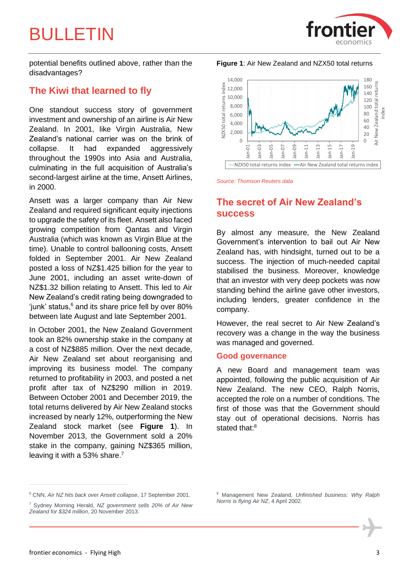

potential benefits outlined above, rather than the disadvantages?

### **The Kiwi that learned to fly**

One standout success story of government investment and ownership of an airline is Air New Zealand. In 2001, like Virgin Australia, New Zealand's national carrier was on the brink of collapse. It had expanded aggressively throughout the 1990s into Asia and Australia, culminating in the full acquisition of Australia's second-largest airline at the time, Ansett Airlines, in 2000.

Ansett was a larger company than Air New Zealand and required significant equity injections to upgrade the safety of its fleet. Ansett also faced growing competition from Qantas and Virgin Australia (which was known as Virgin Blue at the time). Unable to control ballooning costs, Ansett folded in September 2001. Air New Zealand posted a loss of NZ\$1.425 billion for the year to June 2001, including an asset write-down of NZ\$1.32 billion relating to Ansett. This led to Air New Zealand's credit rating being downgraded to 'iunk' status,<sup>6</sup> and its share price fell by over 80% between late August and late September 2001.

In October 2001, the New Zealand Government took an 82% ownership stake in the company at a cost of NZ\$885 million. Over the next decade, Air New Zealand set about reorganising and improving its business model. The company returned to profitability in 2003, and posted a net profit after tax of NZ\$290 million in 2019. Between October 2001 and December 2019, the total returns delivered by Air New Zealand stocks increased by nearly 12%, outperforming the New Zealand stock market (see **[Figure 1](#page-2-0)**). In November 2013, the Government sold a 20% stake in the company, gaining NZ\$365 million, leaving it with a 53% share.<sup>7</sup>

<span id="page-2-0"></span>**Figure 1**: Air New Zealand and NZX50 total returns



*Source: Thomson Reuters data*

## **The secret of Air New Zealand's success**

By almost any measure, the New Zealand Government's intervention to bail out Air New Zealand has, with hindsight, turned out to be a success. The injection of much-needed capital stabilised the business. Moreover, knowledge that an investor with very deep pockets was now standing behind the airline gave other investors, including lenders, greater confidence in the company.

However, the real secret to Air New Zealand's recovery was a change in the way the business was managed and governed.

### **Good governance**

A new Board and management team was appointed, following the public acquisition of Air New Zealand. The new CEO, Ralph Norris, accepted the role on a number of conditions. The first of those was that the Government should stay out of operational decisions. Norris has stated that:<sup>8</sup>

<sup>6</sup> CNN, *Air NZ hits back over Ansett collapse*, 17 September 2001.

<sup>7</sup> Sydney Morning Herald, *NZ government sells 20% of Air New Zealand for \$324 million*, 20 November 2013.

<sup>8</sup> Management New Zealand, *Unfinished business: Why Ralph Norris is flying Air NZ*, 4 April 2002.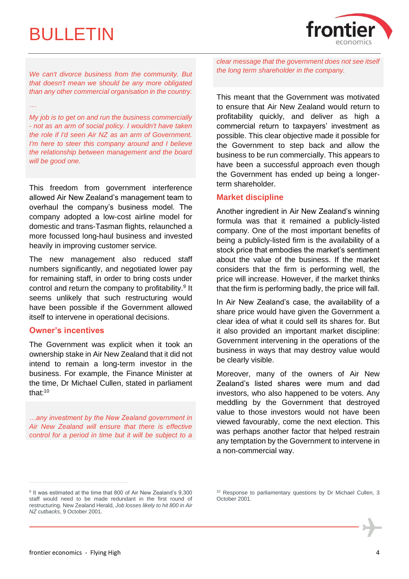*…*



*We can't divorce business from the community. But that doesn't mean we should be any more obligated than any other commercial organisation in the country.*

*My job is to get on and run the business commercially - not as an arm of social policy. I wouldn't have taken the role if I'd seen Air NZ as an arm of Government. I'm here to steer this company around and I believe the relationship between management and the board will be good one.*

This freedom from government interference allowed Air New Zealand's management team to overhaul the company's business model. The company adopted a low-cost airline model for domestic and trans-Tasman flights, relaunched a more focussed long-haul business and invested heavily in improving customer service.

The new management also reduced staff numbers significantly, and negotiated lower pay for remaining staff, in order to bring costs under control and return the company to profitability.<sup>9</sup> It seems unlikely that such restructuring would have been possible if the Government allowed itself to intervene in operational decisions.

### **Owner's incentives**

The Government was explicit when it took an ownership stake in Air New Zealand that it did not intend to remain a long-term investor in the business. For example, the Finance Minister at the time, Dr Michael Cullen, stated in parliament that:<sup>10</sup>

*…any investment by the New Zealand government in Air New Zealand will ensure that there is effective control for a period in time but it will be subject to a*  *clear message that the government does not see itself the long term shareholder in the company.*

This meant that the Government was motivated to ensure that Air New Zealand would return to profitability quickly, and deliver as high a commercial return to taxpayers' investment as possible. This clear objective made it possible for the Government to step back and allow the business to be run commercially. This appears to have been a successful approach even though the Government has ended up being a longerterm shareholder.

### **Market discipline**

Another ingredient in Air New Zealand's winning formula was that it remained a publicly-listed company. One of the most important benefits of being a publicly-listed firm is the availability of a stock price that embodies the market's sentiment about the value of the business. If the market considers that the firm is performing well, the price will increase. However, if the market thinks that the firm is performing badly, the price will fall.

In Air New Zealand's case, the availability of a share price would have given the Government a clear idea of what it could sell its shares for. But it also provided an important market discipline: Government intervening in the operations of the business in ways that may destroy value would be clearly visible.

Moreover, many of the owners of Air New Zealand's listed shares were mum and dad investors, who also happened to be voters. Any meddling by the Government that destroyed value to those investors would not have been viewed favourably, come the next election. This was perhaps another factor that helped restrain any temptation by the Government to intervene in a non-commercial way.

<sup>&</sup>lt;sup>9</sup> It was estimated at the time that 800 of Air New Zealand's 9,300 staff would need to be made redundant in the first round of restructuring. New Zealand Herald, *Job losses likely to hit 800 in Air NZ cutbacks*, 9 October 2001.

<sup>&</sup>lt;sup>10</sup> Response to parliamentary questions by Dr Michael Cullen, 3 October 2001.